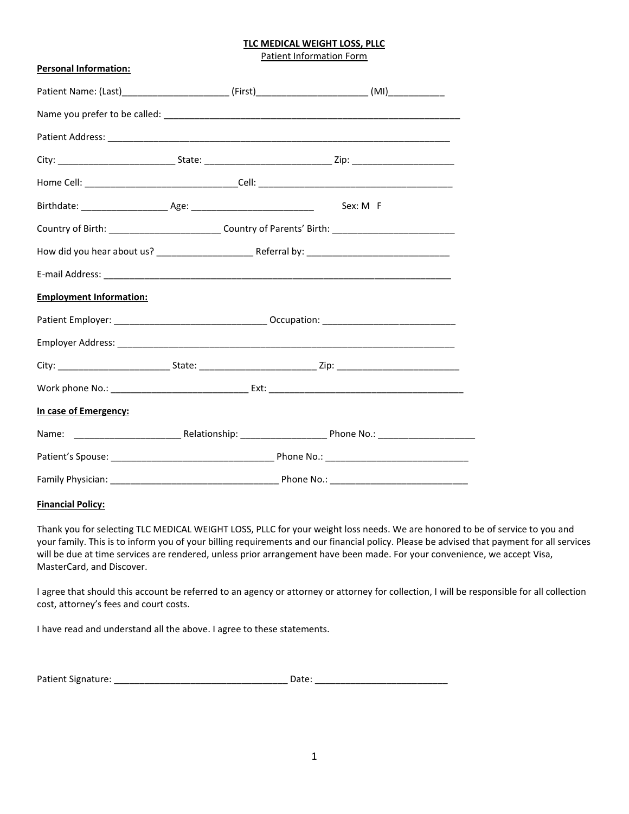Patient Information Form

| <b>Personal Information:</b>   |                                                                                                      |  |
|--------------------------------|------------------------------------------------------------------------------------------------------|--|
|                                |                                                                                                      |  |
|                                |                                                                                                      |  |
|                                |                                                                                                      |  |
|                                |                                                                                                      |  |
|                                |                                                                                                      |  |
|                                |                                                                                                      |  |
|                                | Country of Birth: ______________________________Country of Parents' Birth: _________________________ |  |
|                                |                                                                                                      |  |
|                                |                                                                                                      |  |
| <b>Employment Information:</b> |                                                                                                      |  |
|                                |                                                                                                      |  |
|                                |                                                                                                      |  |
|                                |                                                                                                      |  |
|                                |                                                                                                      |  |
| In case of Emergency:          |                                                                                                      |  |
|                                |                                                                                                      |  |
|                                |                                                                                                      |  |
|                                |                                                                                                      |  |

## **Financial Policy:**

Thank you for selecting TLC MEDICAL WEIGHT LOSS, PLLC for your weight loss needs. We are honored to be of service to you and your family. This is to inform you of your billing requirements and our financial policy. Please be advised that payment for all services will be due at time services are rendered, unless prior arrangement have been made. For your convenience, we accept Visa, MasterCard, and Discover.

I agree that should this account be referred to an agency or attorney or attorney for collection, I will be responsible for all collection cost, attorney's fees and court costs.

I have read and understand all the above. I agree to these statements.

| <b>Patient Signature:</b> | Date. |  |
|---------------------------|-------|--|
|                           |       |  |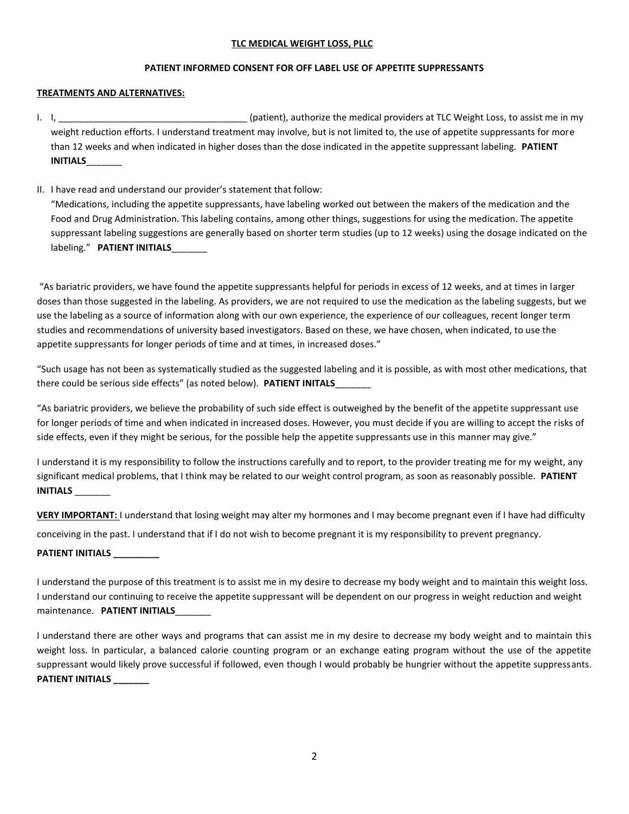# **PATIENT INFORMED CONSENT FOR OFF LABEL USE OF APPETITE SUPPRESSANTS**

## **TREATMENTS AND ALTERNATIVES:**

- I. I, \_\_\_\_\_\_\_\_\_\_\_\_\_\_\_\_\_\_\_\_\_\_\_\_\_\_\_\_\_\_\_\_\_\_\_\_\_ (patient), authorize the medical providers at TLC Weight Loss, to assist me in my weight reduction efforts. I understand treatment may involve, but is not limited to, the use of appetite suppressants for more than 12 weeks and when indicated in higher doses than the dose indicated in the appetite suppressant labeling. **PATIENT INITIALS**\_\_\_\_\_\_\_
- II. I have read and understand our provider's statement that follow: "Medications, including the appetite suppressants, have labeling worked out between the makers of the medication and the Food and Drug Administration. This labeling contains, among other things, suggestions for using the medication. The appetite suppressant labeling suggestions are generally based on shorter term studies (up to 12 weeks) using the dosage indicated on the labeling." **PATIENT INITIALS**

"As bariatric providers, we have found the appetite suppressants helpful for periods in excess of 12 weeks, and at times in larger doses than those suggested in the labeling. As providers, we are not required to use the medication as the labeling suggests, but we use the labeling as a source of information along with our own experience, the experience of our colleagues, recent longer term studies and recommendations of university based investigators. Based on these, we have chosen, when indicated, to use the appetite suppressants for longer periods of time and at times, in increased doses."

"Such usage has not been as systematically studied as the suggested labeling and it is possible, as with most other medications, that there could be serious side effects" (as noted below). **PATIENT INITALS**\_\_\_\_\_\_\_

"As bariatric providers, we believe the probability of such side effect is outweighed by the benefit of the appetite suppressant use for longer periods of time and when indicated in increased doses. However, you must decide if you are willing to accept the risks of side effects, even if they might be serious, for the possible help the appetite suppressants use in this manner may give."

I understand it is my responsibility to follow the instructions carefully and to report, to the provider treating me for my weight, any significant medical problems, that I think may be related to our weight control program, as soon as reasonably possible. **PATIENT INITIALS** \_\_\_\_\_\_\_

**VERY IMPORTANT:** I understand that losing weight may alter my hormones and I may become pregnant even if I have had difficulty conceiving in the past. I understand that if I do not wish to become pregnant it is my responsibility to prevent pregnancy.

# **PATIENT INITIALS \_\_\_\_\_\_\_\_\_**

I understand the purpose of this treatment is to assist me in my desire to decrease my body weight and to maintain this weight loss. I understand our continuing to receive the appetite suppressant will be dependent on our progress in weight reduction and weight maintenance. **PATIENT INITIALS**\_\_\_\_\_\_\_

I understand there are other ways and programs that can assist me in my desire to decrease my body weight and to maintain this weight loss. In particular, a balanced calorie counting program or an exchange eating program without the use of the appetite suppressant would likely prove successful if followed, even though I would probably be hungrier without the appetite suppressants. **PATIENT INITIALS \_\_\_\_\_\_\_**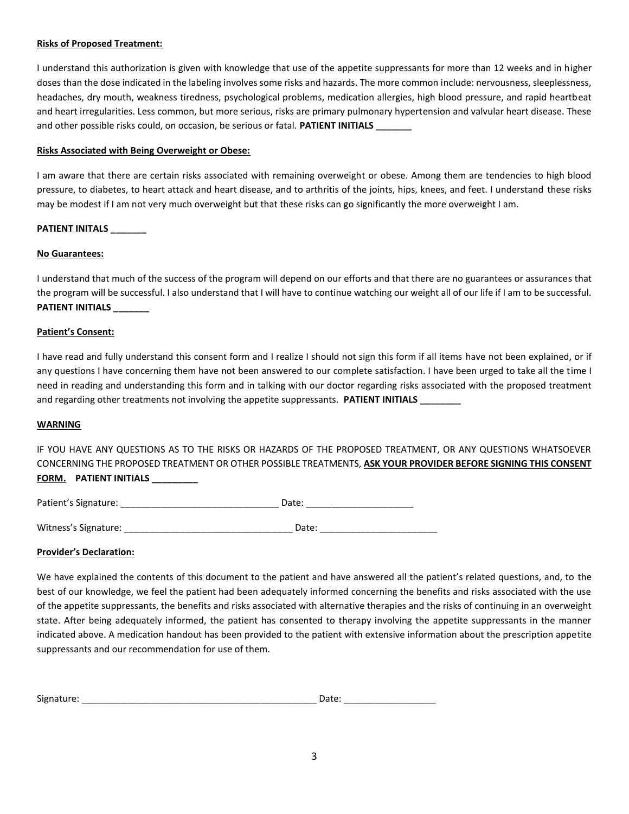## **Risks of Proposed Treatment:**

I understand this authorization is given with knowledge that use of the appetite suppressants for more than 12 weeks and in higher doses than the dose indicated in the labeling involves some risks and hazards. The more common include: nervousness, sleeplessness, headaches, dry mouth, weakness tiredness, psychological problems, medication allergies, high blood pressure, and rapid heartbeat and heart irregularities. Less common, but more serious, risks are primary pulmonary hypertension and valvular heart disease. These and other possible risks could, on occasion, be serious or fatal. **PATIENT INITIALS \_\_\_\_\_\_\_**

### **Risks Associated with Being Overweight or Obese:**

I am aware that there are certain risks associated with remaining overweight or obese. Among them are tendencies to high blood pressure, to diabetes, to heart attack and heart disease, and to arthritis of the joints, hips, knees, and feet. I understand these risks may be modest if I am not very much overweight but that these risks can go significantly the more overweight I am.

## **PATIENT INITALS \_\_\_\_\_\_\_**

#### **No Guarantees:**

I understand that much of the success of the program will depend on our efforts and that there are no guarantees or assurances that the program will be successful. I also understand that I will have to continue watching our weight all of our life if I am to be successful. **PATIENT INITIALS \_\_\_\_\_\_\_**

#### **Patient's Consent:**

I have read and fully understand this consent form and I realize I should not sign this form if all items have not been explained, or if any questions I have concerning them have not been answered to our complete satisfaction. I have been urged to take all the time I need in reading and understanding this form and in talking with our doctor regarding risks associated with the proposed treatment and regarding other treatments not involving the appetite suppressants. **PATIENT INITIALS** 

#### **WARNING**

IF YOU HAVE ANY QUESTIONS AS TO THE RISKS OR HAZARDS OF THE PROPOSED TREATMENT, OR ANY QUESTIONS WHATSOEVER CONCERNING THE PROPOSED TREATMENT OR OTHER POSSIBLE TREATMENTS, **ASK YOUR PROVIDER BEFORE SIGNING THIS CONSENT FORM. PATIENT INITIALS \_\_\_\_\_\_\_\_\_**

| Patient's Signature: | Date. |  |
|----------------------|-------|--|
|                      |       |  |
|                      |       |  |

| Witness's Signature: |  | Date: |
|----------------------|--|-------|
|----------------------|--|-------|

#### **Provider's Declaration:**

We have explained the contents of this document to the patient and have answered all the patient's related questions, and, to the best of our knowledge, we feel the patient had been adequately informed concerning the benefits and risks associated with the use of the appetite suppressants, the benefits and risks associated with alternative therapies and the risks of continuing in an overweight state. After being adequately informed, the patient has consented to therapy involving the appetite suppressants in the manner indicated above. A medication handout has been provided to the patient with extensive information about the prescription appetite suppressants and our recommendation for use of them.

| Signature: | 'dlt. |  |
|------------|-------|--|
|            |       |  |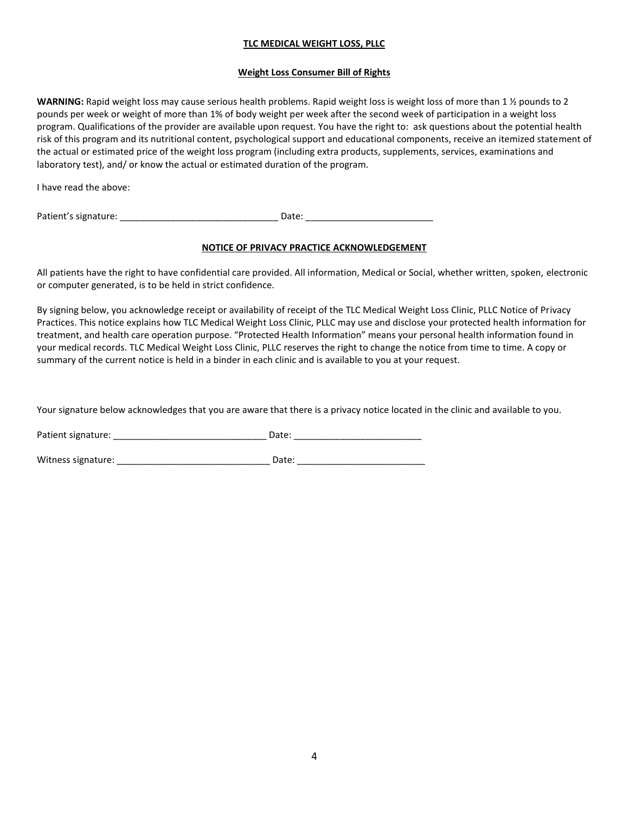# **Weight Loss Consumer Bill of Rights**

**WARNING:** Rapid weight loss may cause serious health problems. Rapid weight loss is weight loss of more than 1 ½ pounds to 2 pounds per week or weight of more than 1% of body weight per week after the second week of participation in a weight loss program. Qualifications of the provider are available upon request. You have the right to: ask questions about the potential health risk of this program and its nutritional content, psychological support and educational components, receive an itemized statement of the actual or estimated price of the weight loss program (including extra products, supplements, services, examinations and laboratory test), and/ or know the actual or estimated duration of the program.

I have read the above:

Patient's signature: example and the state of the Date:  $\Box$ 

# **NOTICE OF PRIVACY PRACTICE ACKNOWLEDGEMENT**

All patients have the right to have confidential care provided. All information, Medical or Social, whether written, spoken, electronic or computer generated, is to be held in strict confidence.

By signing below, you acknowledge receipt or availability of receipt of the TLC Medical Weight Loss Clinic, PLLC Notice of Privacy Practices. This notice explains how TLC Medical Weight Loss Clinic, PLLC may use and disclose your protected health information for treatment, and health care operation purpose. "Protected Health Information" means your personal health information found in your medical records. TLC Medical Weight Loss Clinic, PLLC reserves the right to change the notice from time to time. A copy or summary of the current notice is held in a binder in each clinic and is available to you at your request.

Your signature below acknowledges that you are aware that there is a privacy notice located in the clinic and available to you.

Patient signature: \_\_\_\_\_\_\_\_\_\_\_\_\_\_\_\_\_\_\_\_\_\_\_\_\_\_\_\_\_\_ Date: \_\_\_\_\_\_\_\_\_\_\_\_\_\_\_\_\_\_\_\_\_\_\_\_\_

Witness signature: \_\_\_\_\_\_\_\_\_\_\_\_\_\_\_\_\_\_\_\_\_\_\_\_\_\_\_\_\_\_ Date: \_\_\_\_\_\_\_\_\_\_\_\_\_\_\_\_\_\_\_\_\_\_\_\_\_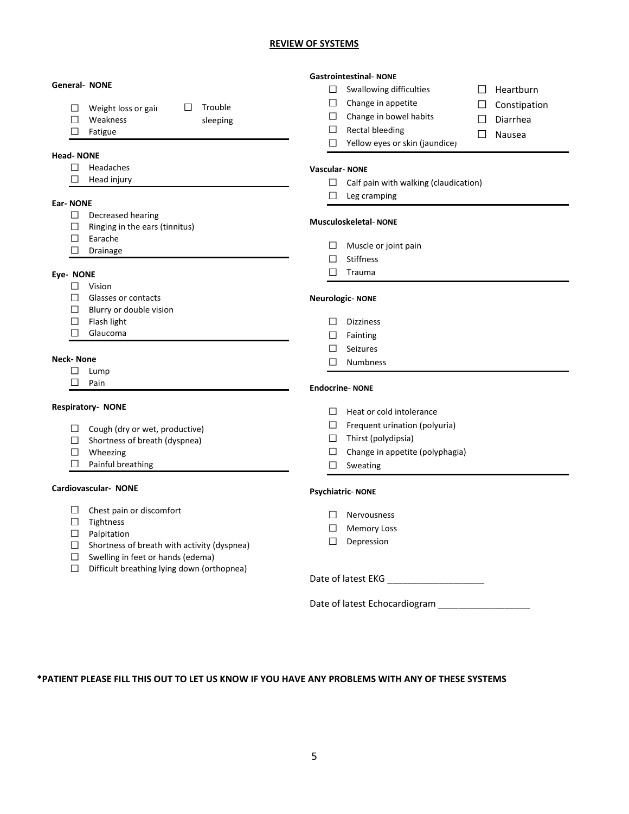## **REVIEW OF SYSTEMS**

|                  | <b>Gastrointestinal- NONE</b>      |                                                    |                      |                                       |        |                  |
|------------------|------------------------------------|----------------------------------------------------|----------------------|---------------------------------------|--------|------------------|
|                  |                                    | <b>General- NONE</b>                               | $\Box$               | Swallowing difficulties               |        | $\Box$ Heartburn |
|                  |                                    | Trouble<br>$\Box$                                  | $\Box$               | Change in appetite                    | ⊔      | Constipation     |
|                  | □<br>$\Box$                        | Weight loss or gair<br>Weakness                    | $\Box$               | Change in bowel habits                | $\Box$ | Diarrhea         |
|                  | $\Box$                             | sleeping                                           |                      | $\Box$ Rectal bleeding                |        |                  |
|                  |                                    | Fatigue                                            | $\Box$               | Yellow eyes or skin (jaundice)        | $\Box$ | Nausea           |
| <b>Head-NONE</b> |                                    |                                                    |                      |                                       |        |                  |
|                  | □                                  | Headaches                                          | <b>Vascular-NONE</b> |                                       |        |                  |
|                  | П                                  | Head injury                                        |                      |                                       |        |                  |
|                  |                                    |                                                    | □                    | Calf pain with walking (claudication) |        |                  |
| <b>Ear-NONE</b>  |                                    |                                                    | □                    | Leg cramping                          |        |                  |
|                  |                                    | $\Box$ Decreased hearing                           |                      |                                       |        |                  |
|                  | □                                  | Ringing in the ears (tinnitus)                     |                      | <b>Musculoskeletal-NONE</b>           |        |                  |
|                  | □                                  | Earache                                            |                      |                                       |        |                  |
|                  | П.                                 | Drainage                                           | $\Box$               | Muscle or joint pain                  |        |                  |
|                  |                                    |                                                    | $\Box$               | <b>Stiffness</b>                      |        |                  |
| Eye- NONE        |                                    |                                                    | □                    | Trauma                                |        |                  |
|                  | □                                  | Vision                                             |                      |                                       |        |                  |
|                  | □                                  | Glasses or contacts                                |                      | <b>Neurologic-NONE</b>                |        |                  |
|                  | □                                  | Blurry or double vision                            |                      |                                       |        |                  |
|                  |                                    | $\Box$ Flash light                                 | $\Box$               | Dizziness                             |        |                  |
|                  | □                                  | Glaucoma                                           |                      | $\Box$ Fainting                       |        |                  |
|                  |                                    |                                                    | $\Box$               | Seizures                              |        |                  |
| <b>Neck-None</b> |                                    | $\Box$                                             | <b>Numbness</b>      |                                       |        |                  |
|                  | □                                  | Lump                                               |                      |                                       |        |                  |
|                  | □<br>Pain<br><b>Endocrine-NONE</b> |                                                    |                      |                                       |        |                  |
|                  |                                    |                                                    |                      |                                       |        |                  |
|                  |                                    | <b>Respiratory- NONE</b>                           | $\Box$               | Heat or cold intolerance              |        |                  |
|                  |                                    | $\Box$ Cough (dry or wet, productive)              | $\Box$               | Frequent urination (polyuria)         |        |                  |
|                  | $\Box$                             | Shortness of breath (dyspnea)                      | $\Box$               | Thirst (polydipsia)                   |        |                  |
|                  |                                    | $\Box$ Wheezing                                    | $\Box$               | Change in appetite (polyphagia)       |        |                  |
|                  | $\Box$                             | Painful breathing                                  | □                    | Sweating                              |        |                  |
|                  |                                    |                                                    |                      |                                       |        |                  |
|                  |                                    | Cardiovascular- NONE                               |                      | <b>Psychiatric-NONE</b>               |        |                  |
|                  | □                                  | Chest pain or discomfort                           | $\Box$               | Nervousness                           |        |                  |
|                  | $\Box$                             | Tightness                                          |                      |                                       |        |                  |
|                  |                                    | $\Box$ Palpitation                                 | □                    | <b>Memory Loss</b>                    |        |                  |
|                  |                                    | $\Box$ Shortness of breath with activity (dyspnea) | □                    | Depression                            |        |                  |
|                  | □                                  | Swelling in feet or hands (edema)                  |                      |                                       |        |                  |
|                  | $\Box$                             | Difficult breathing lying down (orthopnea)         |                      |                                       |        |                  |
|                  |                                    |                                                    |                      | Date of latest EKG ___________        |        |                  |
|                  |                                    |                                                    |                      | Date of latest Echocardiogram         |        |                  |

# **\*PATIENT PLEASE FILL THIS OUT TO LET US KNOW IF YOU HAVE ANY PROBLEMS WITH ANY OF THESE SYSTEMS**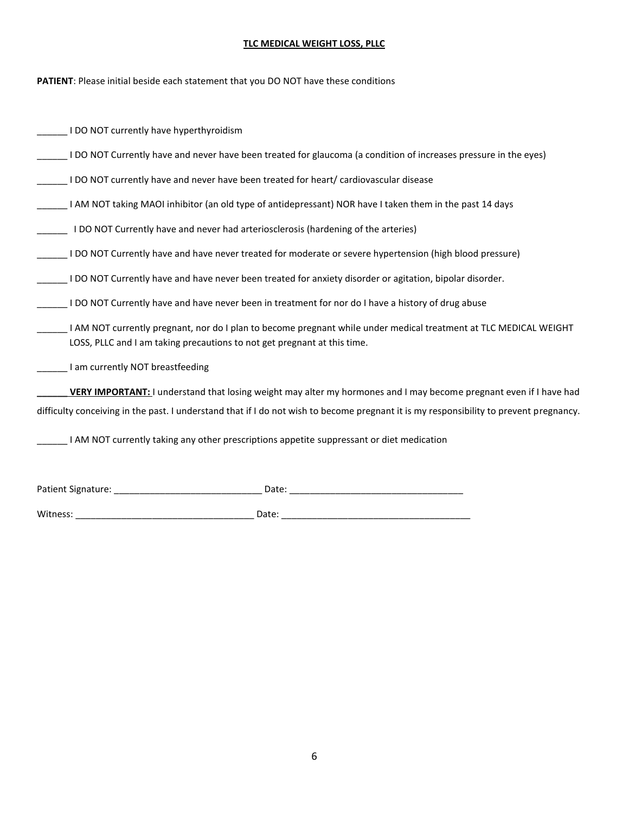**PATIENT**: Please initial beside each statement that you DO NOT have these conditions

| I DO NOT currently have hyperthyroidism                                                                                                                                                                                                                      |
|--------------------------------------------------------------------------------------------------------------------------------------------------------------------------------------------------------------------------------------------------------------|
| DO NOT Currently have and never have been treated for glaucoma (a condition of increases pressure in the eyes)                                                                                                                                               |
| I DO NOT currently have and never have been treated for heart/ cardiovascular disease                                                                                                                                                                        |
| I AM NOT taking MAOI inhibitor (an old type of antidepressant) NOR have I taken them in the past 14 days                                                                                                                                                     |
| I DO NOT Currently have and never had arteriosclerosis (hardening of the arteries)                                                                                                                                                                           |
| I DO NOT Currently have and have never treated for moderate or severe hypertension (high blood pressure)                                                                                                                                                     |
| I DO NOT Currently have and have never been treated for anxiety disorder or agitation, bipolar disorder.                                                                                                                                                     |
| I DO NOT Currently have and have never been in treatment for nor do I have a history of drug abuse                                                                                                                                                           |
| I AM NOT currently pregnant, nor do I plan to become pregnant while under medical treatment at TLC MEDICAL WEIGHT<br>LOSS, PLLC and I am taking precautions to not get pregnant at this time.                                                                |
| I am currently NOT breastfeeding                                                                                                                                                                                                                             |
| VERY IMPORTANT: I understand that losing weight may alter my hormones and I may become pregnant even if I have had<br>difficulty conceiving in the past. I understand that if I do not wish to become pregnant it is my responsibility to prevent pregnancy. |
| I AM NOT currently taking any other prescriptions appetite suppressant or diet medication                                                                                                                                                                    |
| Patient Signature:<br>Date:                                                                                                                                                                                                                                  |

Witness: \_\_\_\_\_\_\_\_\_\_\_\_\_\_\_\_\_\_\_\_\_\_\_\_\_\_\_\_\_\_\_\_\_\_\_ Date: \_\_\_\_\_\_\_\_\_\_\_\_\_\_\_\_\_\_\_\_\_\_\_\_\_\_\_\_\_\_\_\_\_\_\_\_\_